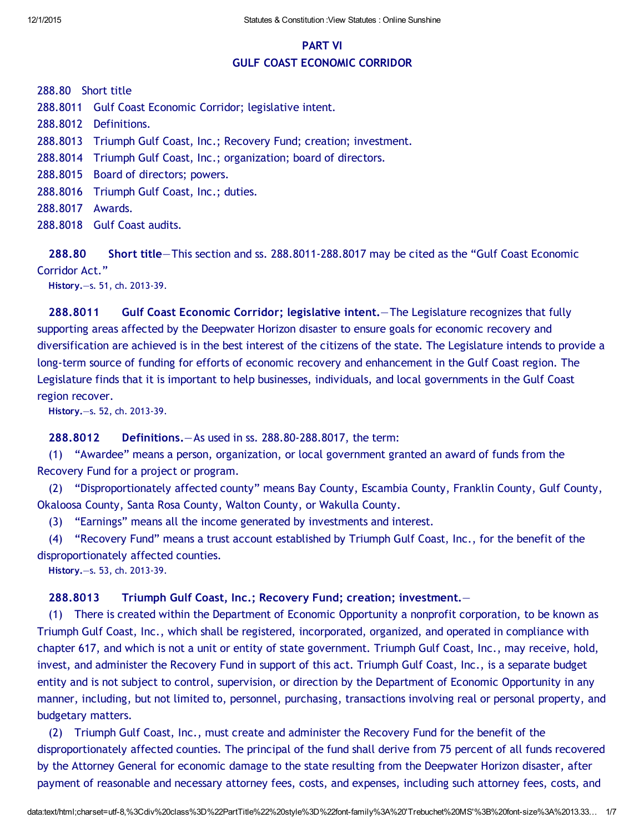# PART VI GULF COAST ECONOMIC CORRIDOR

288.80 Short title

288.8011 Gulf Coast Economic Corridor; legislative intent.

288.8012 Definitions.

288.8013 Triumph Gulf Coast, Inc.; Recovery Fund; creation; investment.

288.8014 Triumph Gulf Coast, Inc.; organization; board of directors.

288.8015 Board of directors; powers.

288.8016 Triumph Gulf Coast, Inc.; duties.

288.8017 Awards.

288.8018 Gulf Coast audits.

288.80 Short title—This section and ss. 288.8011‐288.8017 may be cited as the "Gulf Coast Economic Corridor Act."

History.—s. 51, ch. 2013‐39.

288.8011 Gulf Coast Economic Corridor; legislative intent.—The Legislature recognizes that fully supporting areas affected by the Deepwater Horizon disaster to ensure goals for economic recovery and diversification are achieved is in the best interest of the citizens of the state. The Legislature intends to provide a long-term source of funding for efforts of economic recovery and enhancement in the Gulf Coast region. The Legislature finds that it is important to help businesses, individuals, and local governments in the Gulf Coast region recover.

History.—s. 52, ch. 2013‐39.

288.8012 Definitions.—As used in ss. 288.80‐288.8017, the term:

(1) "Awardee" means a person, organization, or local government granted an award of funds from the Recovery Fund for a project or program.

(2) "Disproportionately affected county" means Bay County, Escambia County, Franklin County, Gulf County, Okaloosa County, Santa Rosa County, Walton County, or Wakulla County.

(3) "Earnings" means all the income generated by investments and interest.

(4) "Recovery Fund" means a trust account established by Triumph Gulf Coast, Inc., for the benefit of the disproportionately affected counties.

History.—s. 53, ch. 2013‐39.

### 288.8013 Triumph Gulf Coast, Inc.; Recovery Fund; creation; investment.—

(1) There is created within the Department of Economic Opportunity a nonprofit corporation, to be known as Triumph Gulf Coast, Inc., which shall be registered, incorporated, organized, and operated in compliance with chapter 617, and which is not a unit or entity of state government. Triumph Gulf Coast, Inc., may receive, hold, invest, and administer the Recovery Fund in support of this act. Triumph Gulf Coast, Inc., is a separate budget entity and is not subject to control, supervision, or direction by the Department of Economic Opportunity in any manner, including, but not limited to, personnel, purchasing, transactions involving real or personal property, and budgetary matters.

(2) Triumph Gulf Coast, Inc., must create and administer the Recovery Fund for the benefit of the disproportionately affected counties. The principal of the fund shall derive from 75 percent of all funds recovered by the Attorney General for economic damage to the state resulting from the Deepwater Horizon disaster, after payment of reasonable and necessary attorney fees, costs, and expenses, including such attorney fees, costs, and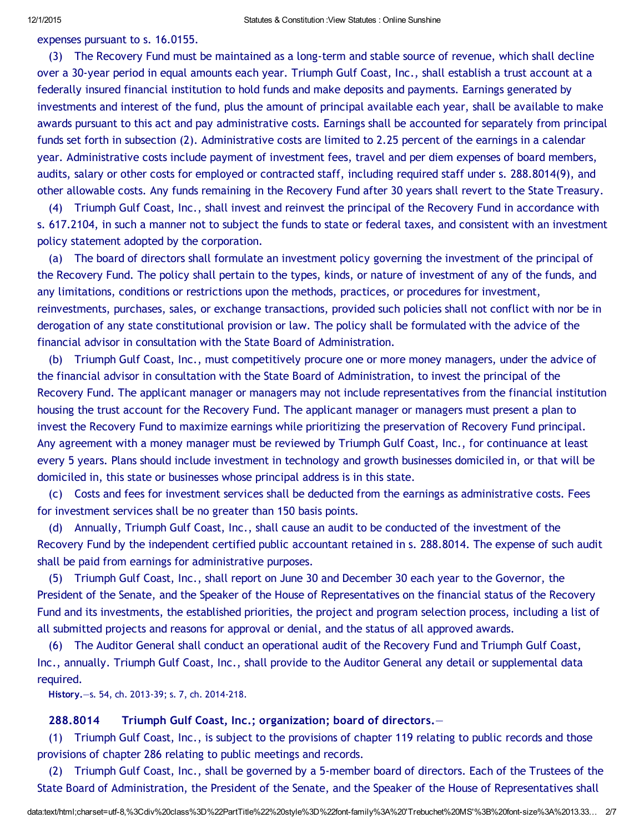expenses pursuant to s. 16.0155.

(3) The Recovery Fund must be maintained as a long‐term and stable source of revenue, which shall decline over a 30‐year period in equal amounts each year. Triumph Gulf Coast, Inc., shall establish a trust account at a federally insured financial institution to hold funds and make deposits and payments. Earnings generated by investments and interest of the fund, plus the amount of principal available each year, shall be available to make awards pursuant to this act and pay administrative costs. Earnings shall be accounted for separately from principal funds set forth in subsection (2). Administrative costs are limited to 2.25 percent of the earnings in a calendar year. Administrative costs include payment of investment fees, travel and per diem expenses of board members, audits, salary or other costs for employed or contracted staff, including required staff under s. 288.8014(9), and other allowable costs. Any funds remaining in the Recovery Fund after 30 years shall revert to the State Treasury.

(4) Triumph Gulf Coast, Inc., shall invest and reinvest the principal of the Recovery Fund in accordance with s. 617.2104, in such a manner not to subject the funds to state or federal taxes, and consistent with an investment policy statement adopted by the corporation.

(a) The board of directors shall formulate an investment policy governing the investment of the principal of the Recovery Fund. The policy shall pertain to the types, kinds, or nature of investment of any of the funds, and any limitations, conditions or restrictions upon the methods, practices, or procedures for investment, reinvestments, purchases, sales, or exchange transactions, provided such policies shall not conflict with nor be in derogation of any state constitutional provision or law. The policy shall be formulated with the advice of the financial advisor in consultation with the State Board of Administration.

(b) Triumph Gulf Coast, Inc., must competitively procure one or more money managers, under the advice of the financial advisor in consultation with the State Board of Administration, to invest the principal of the Recovery Fund. The applicant manager or managers may not include representatives from the financial institution housing the trust account for the Recovery Fund. The applicant manager or managers must present a plan to invest the Recovery Fund to maximize earnings while prioritizing the preservation of Recovery Fund principal. Any agreement with a money manager must be reviewed by Triumph Gulf Coast, Inc., for continuance at least every 5 years. Plans should include investment in technology and growth businesses domiciled in, or that will be domiciled in, this state or businesses whose principal address is in this state.

(c) Costs and fees for investment services shall be deducted from the earnings as administrative costs. Fees for investment services shall be no greater than 150 basis points.

(d) Annually, Triumph Gulf Coast, Inc., shall cause an audit to be conducted of the investment of the Recovery Fund by the independent certified public accountant retained in s. 288.8014. The expense of such audit shall be paid from earnings for administrative purposes.

(5) Triumph Gulf Coast, Inc., shall report on June 30 and December 30 each year to the Governor, the President of the Senate, and the Speaker of the House of Representatives on the financial status of the Recovery Fund and its investments, the established priorities, the project and program selection process, including a list of all submitted projects and reasons for approval or denial, and the status of all approved awards.

(6) The Auditor General shall conduct an operational audit of the Recovery Fund and Triumph Gulf Coast, Inc., annually. Triumph Gulf Coast, Inc., shall provide to the Auditor General any detail or supplemental data required.

History.—s. 54, ch. 2013‐39; s. 7, ch. 2014‐218.

### 288.8014 Triumph Gulf Coast, Inc.; organization; board of directors.—

(1) Triumph Gulf Coast, Inc., is subject to the provisions of chapter 119 relating to public records and those provisions of chapter 286 relating to public meetings and records.

(2) Triumph Gulf Coast, Inc., shall be governed by a 5‐member board of directors. Each of the Trustees of the State Board of Administration, the President of the Senate, and the Speaker of the House of Representatives shall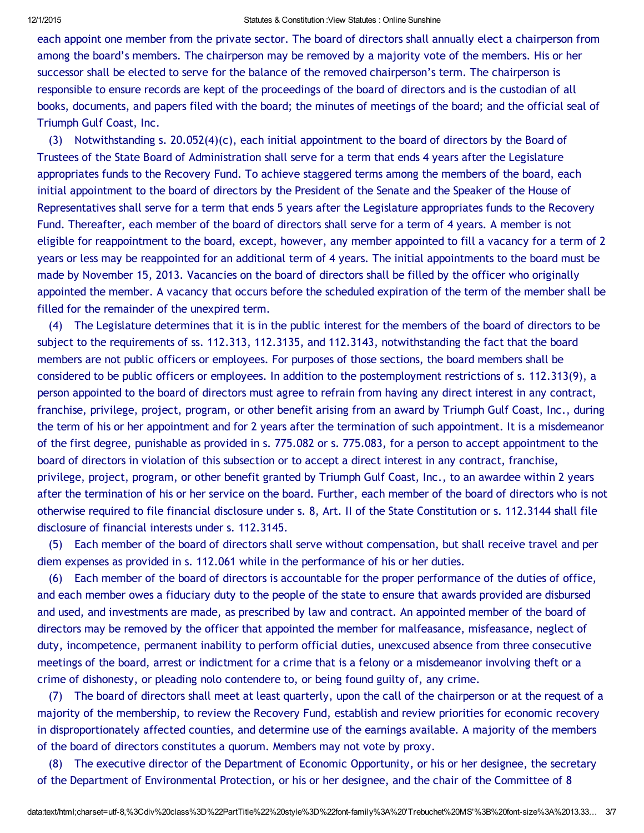#### 12/1/2015 Statutes & Constitution :View Statutes : Online Sunshine

each appoint one member from the private sector. The board of directors shall annually elect a chairperson from among the board's members. The chairperson may be removed by a majority vote of the members. His or her successor shall be elected to serve for the balance of the removed chairperson's term. The chairperson is responsible to ensure records are kept of the proceedings of the board of directors and is the custodian of all books, documents, and papers filed with the board; the minutes of meetings of the board; and the official seal of Triumph Gulf Coast, Inc.

(3) Notwithstanding s. 20.052(4)(c), each initial appointment to the board of directors by the Board of Trustees of the State Board of Administration shall serve for a term that ends 4 years after the Legislature appropriates funds to the Recovery Fund. To achieve staggered terms among the members of the board, each initial appointment to the board of directors by the President of the Senate and the Speaker of the House of Representatives shall serve for a term that ends 5 years after the Legislature appropriates funds to the Recovery Fund. Thereafter, each member of the board of directors shall serve for a term of 4 years. A member is not eligible for reappointment to the board, except, however, any member appointed to fill a vacancy for a term of 2 years or less may be reappointed for an additional term of 4 years. The initial appointments to the board must be made by November 15, 2013. Vacancies on the board of directors shall be filled by the officer who originally appointed the member. A vacancy that occurs before the scheduled expiration of the term of the member shall be filled for the remainder of the unexpired term.

(4) The Legislature determines that it is in the public interest for the members of the board of directors to be subject to the requirements of ss. 112.313, 112.3135, and 112.3143, notwithstanding the fact that the board members are not public officers or employees. For purposes of those sections, the board members shall be considered to be public officers or employees. In addition to the postemployment restrictions of s. 112.313(9), a person appointed to the board of directors must agree to refrain from having any direct interest in any contract, franchise, privilege, project, program, or other benefit arising from an award by Triumph Gulf Coast, Inc., during the term of his or her appointment and for 2 years after the termination of such appointment. It is a misdemeanor of the first degree, punishable as provided in s. 775.082 or s. 775.083, for a person to accept appointment to the board of directors in violation of this subsection or to accept a direct interest in any contract, franchise, privilege, project, program, or other benefit granted by Triumph Gulf Coast, Inc., to an awardee within 2 years after the termination of his or her service on the board. Further, each member of the board of directors who is not otherwise required to file financial disclosure under s. 8, Art. II of the State Constitution or s. 112.3144 shall file disclosure of financial interests under s. 112.3145.

(5) Each member of the board of directors shall serve without compensation, but shall receive travel and per diem expenses as provided in s. 112.061 while in the performance of his or her duties.

(6) Each member of the board of directors is accountable for the proper performance of the duties of office, and each member owes a fiduciary duty to the people of the state to ensure that awards provided are disbursed and used, and investments are made, as prescribed by law and contract. An appointed member of the board of directors may be removed by the officer that appointed the member for malfeasance, misfeasance, neglect of duty, incompetence, permanent inability to perform official duties, unexcused absence from three consecutive meetings of the board, arrest or indictment for a crime that is a felony or a misdemeanor involving theft or a crime of dishonesty, or pleading nolo contendere to, or being found guilty of, any crime.

(7) The board of directors shall meet at least quarterly, upon the call of the chairperson or at the request of a majority of the membership, to review the Recovery Fund, establish and review priorities for economic recovery in disproportionately affected counties, and determine use of the earnings available. A majority of the members of the board of directors constitutes a quorum. Members may not vote by proxy.

(8) The executive director of the Department of Economic Opportunity, or his or her designee, the secretary of the Department of Environmental Protection, or his or her designee, and the chair of the Committee of 8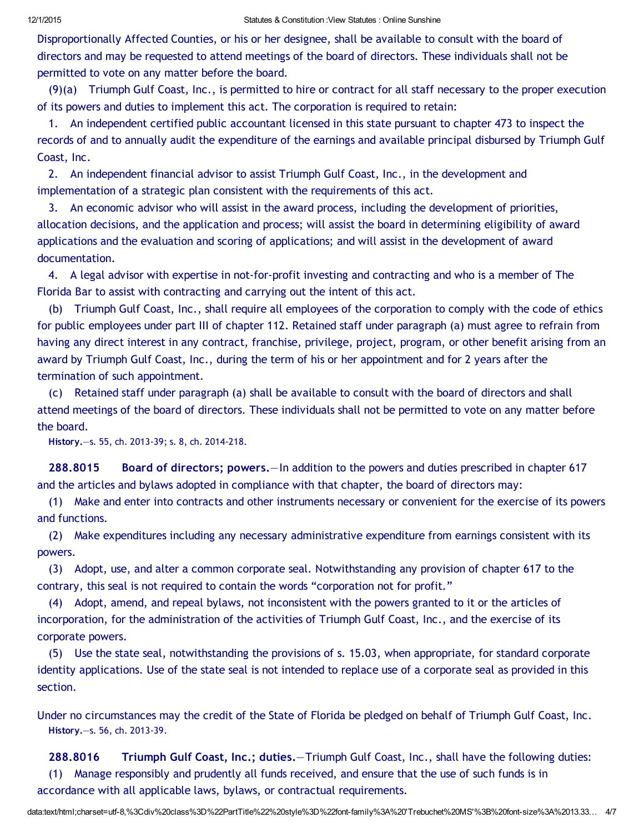Disproportionally Affected Counties, or his or her designee, shall be available to consult with the board of directors and may be requested to attend meetings of the board of directors. These individuals shall not be permitted to vote on any matter before the board.

(9)(a) Triumph Gulf Coast, Inc., is permitted to hire or contract for all staff necessary to the proper execution of its powers and duties to implement this act. The corporation is required to retain:

1. An independent certified public accountant licensed in this state pursuant to chapter 473 to inspect the records of and to annually audit the expenditure of the earnings and available principal disbursed by Triumph Gulf Coast, Inc.

2. An independent financial advisor to assist Triumph Gulf Coast, Inc., in the development and implementation of a strategic plan consistent with the requirements of this act.

3. An economic advisor who will assist in the award process, including the development of priorities, allocation decisions, and the application and process; will assist the board in determining eligibility of award applications and the evaluation and scoring of applications; and will assist in the development of award documentation.

4. A legal advisor with expertise in not‐for‐profit investing and contracting and who is a member of The Florida Bar to assist with contracting and carrying out the intent of this act.

(b) Triumph Gulf Coast, Inc., shall require all employees of the corporation to comply with the code of ethics for public employees under part III of chapter 112. Retained staff under paragraph (a) must agree to refrain from having any direct interest in any contract, franchise, privilege, project, program, or other benefit arising from an award by Triumph Gulf Coast, Inc., during the term of his or her appointment and for 2 years after the termination of such appointment.

(c) Retained staff under paragraph (a) shall be available to consult with the board of directors and shall attend meetings of the board of directors. These individuals shall not be permitted to vote on any matter before the board.

History.—s. 55, ch. 2013‐39; s. 8, ch. 2014‐218.

288.8015 Board of directors; powers.—In addition to the powers and duties prescribed in chapter 617 and the articles and bylaws adopted in compliance with that chapter, the board of directors may:

(1) Make and enter into contracts and other instruments necessary or convenient for the exercise of its powers and functions.

(2) Make expenditures including any necessary administrative expenditure from earnings consistent with its powers.

(3) Adopt, use, and alter a common corporate seal. Notwithstanding any provision of chapter 617 to the contrary, this seal is not required to contain the words "corporation not for profit."

(4) Adopt, amend, and repeal bylaws, not inconsistent with the powers granted to it or the articles of incorporation, for the administration of the activities of Triumph Gulf Coast, Inc., and the exercise of its corporate powers.

(5) Use the state seal, notwithstanding the provisions of s. 15.03, when appropriate, for standard corporate identity applications. Use of the state seal is not intended to replace use of a corporate seal as provided in this section.

Under no circumstances may the credit of the State of Florida be pledged on behalf of Triumph Gulf Coast, Inc. History.—s. 56, ch. 2013‐39.

288.8016 Triumph Gulf Coast, Inc.; duties.—Triumph Gulf Coast, Inc., shall have the following duties: (1) Manage responsibly and prudently all funds received, and ensure that the use of such funds is in accordance with all applicable laws, bylaws, or contractual requirements.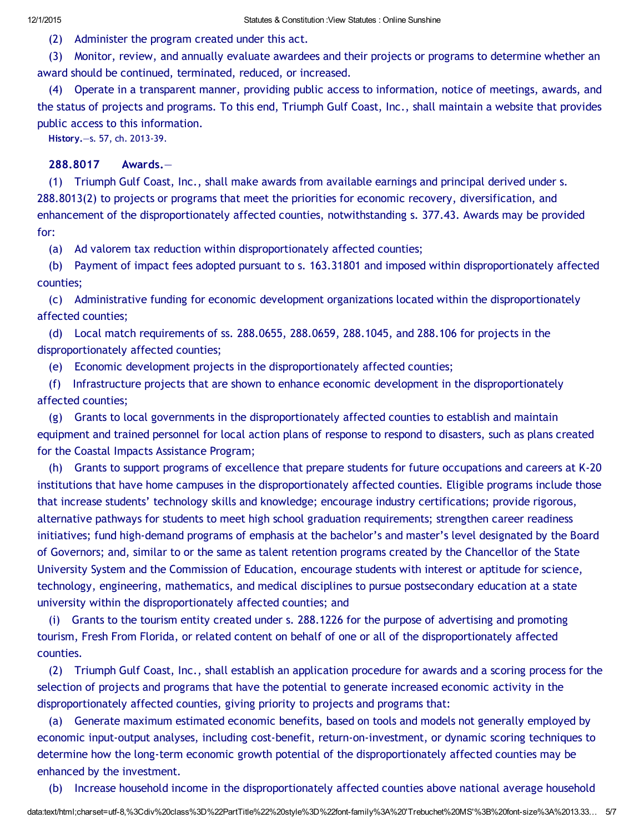(2) Administer the program created under this act.

(3) Monitor, review, and annually evaluate awardees and their projects or programs to determine whether an award should be continued, terminated, reduced, or increased.

(4) Operate in a transparent manner, providing public access to information, notice of meetings, awards, and the status of projects and programs. To this end, Triumph Gulf Coast, Inc., shall maintain a website that provides public access to this information.

History.—s. 57, ch. 2013‐39.

### 288.8017 Awards.—

(1) Triumph Gulf Coast, Inc., shall make awards from available earnings and principal derived under s. 288.8013(2) to projects or programs that meet the priorities for economic recovery, diversification, and enhancement of the disproportionately affected counties, notwithstanding s. 377.43. Awards may be provided for:

(a) Ad valorem tax reduction within disproportionately affected counties;

(b) Payment of impact fees adopted pursuant to s. 163.31801 and imposed within disproportionately affected counties;

(c) Administrative funding for economic development organizations located within the disproportionately affected counties;

(d) Local match requirements of ss. 288.0655, 288.0659, 288.1045, and 288.106 for projects in the disproportionately affected counties;

(e) Economic development projects in the disproportionately affected counties;

(f) Infrastructure projects that are shown to enhance economic development in the disproportionately affected counties;

(g) Grants to local governments in the disproportionately affected counties to establish and maintain equipment and trained personnel for local action plans of response to respond to disasters, such as plans created for the Coastal Impacts Assistance Program;

(h) Grants to support programs of excellence that prepare students for future occupations and careers at K‐20 institutions that have home campuses in the disproportionately affected counties. Eligible programs include those that increase students' technology skills and knowledge; encourage industry certifications; provide rigorous, alternative pathways for students to meet high school graduation requirements; strengthen career readiness initiatives; fund high‐demand programs of emphasis at the bachelor's and master's level designated by the Board of Governors; and, similar to or the same as talent retention programs created by the Chancellor of the State University System and the Commission of Education, encourage students with interest or aptitude for science, technology, engineering, mathematics, and medical disciplines to pursue postsecondary education at a state university within the disproportionately affected counties; and

(i) Grants to the tourism entity created under s. 288.1226 for the purpose of advertising and promoting tourism, Fresh From Florida, or related content on behalf of one or all of the disproportionately affected counties.

(2) Triumph Gulf Coast, Inc., shall establish an application procedure for awards and a scoring process for the selection of projects and programs that have the potential to generate increased economic activity in the disproportionately affected counties, giving priority to projects and programs that:

(a) Generate maximum estimated economic benefits, based on tools and models not generally employed by economic input‐output analyses, including cost‐benefit, return‐on‐investment, or dynamic scoring techniques to determine how the long‐term economic growth potential of the disproportionately affected counties may be enhanced by the investment.

(b) Increase household income in the disproportionately affected counties above national average household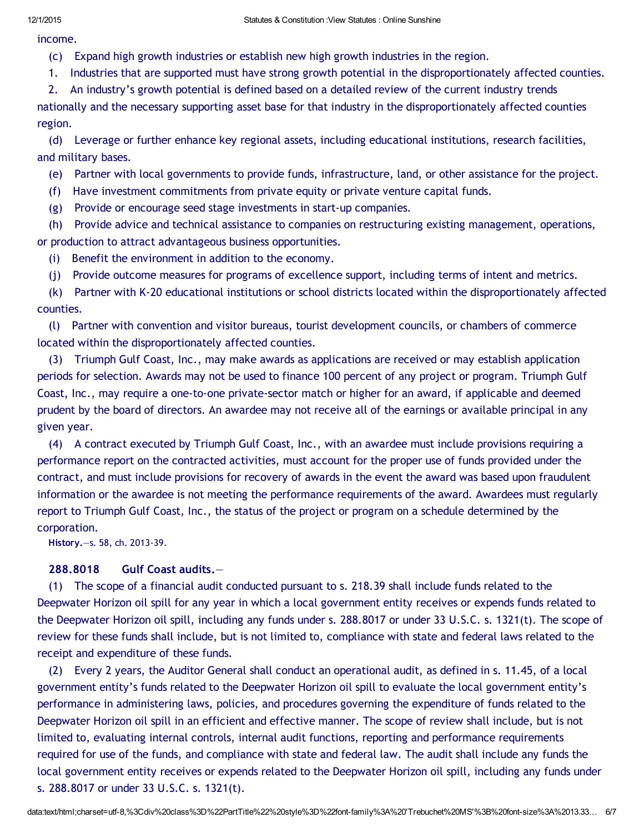income.

- (c) Expand high growth industries or establish new high growth industries in the region.
- 1. Industries that are supported must have strong growth potential in the disproportionately affected counties.

2. An industry's growth potential is defined based on a detailed review of the current industry trends nationally and the necessary supporting asset base for that industry in the disproportionately affected counties region.

(d) Leverage or further enhance key regional assets, including educational institutions, research facilities, and military bases.

(e) Partner with local governments to provide funds, infrastructure, land, or other assistance for the project.

- (f) Have investment commitments from private equity or private venture capital funds.
- (g) Provide or encourage seed stage investments in start‐up companies.

(h) Provide advice and technical assistance to companies on restructuring existing management, operations, or production to attract advantageous business opportunities.

- (i) Benefit the environment in addition to the economy.
- (j) Provide outcome measures for programs of excellence support, including terms of intent and metrics.

(k) Partner with K‐20 educational institutions or school districts located within the disproportionately affected counties.

(l) Partner with convention and visitor bureaus, tourist development councils, or chambers of commerce located within the disproportionately affected counties.

(3) Triumph Gulf Coast, Inc., may make awards as applications are received or may establish application periods for selection. Awards may not be used to finance 100 percent of any project or program. Triumph Gulf Coast, Inc., may require a one‐to‐one private‐sector match or higher for an award, if applicable and deemed prudent by the board of directors. An awardee may not receive all of the earnings or available principal in any given year.

(4) A contract executed by Triumph Gulf Coast, Inc., with an awardee must include provisions requiring a performance report on the contracted activities, must account for the proper use of funds provided under the contract, and must include provisions for recovery of awards in the event the award was based upon fraudulent information or the awardee is not meeting the performance requirements of the award. Awardees must regularly report to Triumph Gulf Coast, Inc., the status of the project or program on a schedule determined by the corporation.

History.—s. 58, ch. 2013‐39.

## 288.8018 Gulf Coast audits.—

(1) The scope of a financial audit conducted pursuant to s. 218.39 shall include funds related to the Deepwater Horizon oil spill for any year in which a local government entity receives or expends funds related to the Deepwater Horizon oil spill, including any funds under s. 288.8017 or under 33 U.S.C. s. 1321(t). The scope of review for these funds shall include, but is not limited to, compliance with state and federal laws related to the receipt and expenditure of these funds.

(2) Every 2 years, the Auditor General shall conduct an operational audit, as defined in s. 11.45, of a local government entity's funds related to the Deepwater Horizon oil spill to evaluate the local government entity's performance in administering laws, policies, and procedures governing the expenditure of funds related to the Deepwater Horizon oil spill in an efficient and effective manner. The scope of review shall include, but is not limited to, evaluating internal controls, internal audit functions, reporting and performance requirements required for use of the funds, and compliance with state and federal law. The audit shall include any funds the local government entity receives or expends related to the Deepwater Horizon oil spill, including any funds under s. 288.8017 or under 33 U.S.C. s. 1321(t).